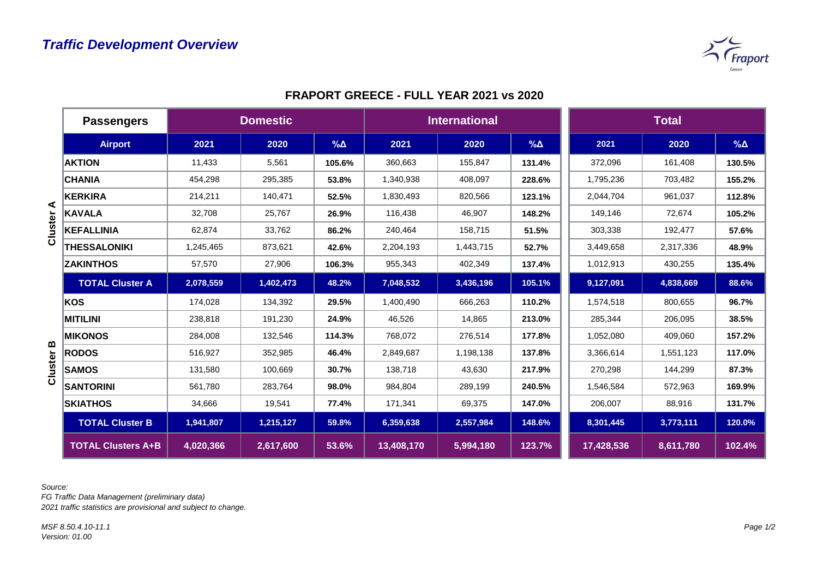

|         | <b>Passengers</b>         | <b>Domestic</b> |           |               | <b>International</b> |           |               | <b>Total</b> |           |               |
|---------|---------------------------|-----------------|-----------|---------------|----------------------|-----------|---------------|--------------|-----------|---------------|
|         | <b>Airport</b>            | 2021            | 2020      | $\%$ $\Delta$ | 2021                 | 2020      | $\%$ $\Delta$ | 2021         | 2020      | $\%$ $\Delta$ |
|         | <b>AKTION</b>             | 11,433          | 5,561     | 105.6%        | 360,663              | 155,847   | 131.4%        | 372,096      | 161,408   | 130.5%        |
|         | <b>CHANIA</b>             | 454,298         | 295,385   | 53.8%         | 1,340,938            | 408,097   | 228.6%        | 1,795,236    | 703,482   | 155.2%        |
|         | <b>KERKIRA</b>            | 214,211         | 140,471   | 52.5%         | 1,830,493            | 820,566   | 123.1%        | 2,044,704    | 961,037   | 112.8%        |
| ⋖       | <b>KAVALA</b>             | 32,708          | 25,767    | 26.9%         | 116,438              | 46,907    | 148.2%        | 149,146      | 72,674    | 105.2%        |
| Cluster | <b>KEFALLINIA</b>         | 62,874          | 33,762    | 86.2%         | 240,464              | 158,715   | 51.5%         | 303,338      | 192,477   | 57.6%         |
|         | <b>THESSALONIKI</b>       | 1,245,465       | 873,621   | 42.6%         | 2,204,193            | 1,443,715 | 52.7%         | 3,449,658    | 2,317,336 | 48.9%         |
|         | <b>ZAKINTHOS</b>          | 57,570          | 27,906    | 106.3%        | 955,343              | 402,349   | 137.4%        | 1,012,913    | 430,255   | 135.4%        |
|         | <b>TOTAL Cluster A</b>    | 2,078,559       | 1,402,473 | 48.2%         | 7,048,532            | 3,436,196 | 105.1%        | 9,127,091    | 4,838,669 | 88.6%         |
|         | KOS                       | 174,028         | 134,392   | 29.5%         | 1,400,490            | 666,263   | 110.2%        | 1,574,518    | 800,655   | 96.7%         |
|         | <b>MITILINI</b>           | 238,818         | 191,230   | 24.9%         | 46,526               | 14,865    | 213.0%        | 285,344      | 206,095   | 38.5%         |
|         | <b>MIKONOS</b>            | 284,008         | 132,546   | 114.3%        | 768,072              | 276,514   | 177.8%        | 1,052,080    | 409,060   | 157.2%        |
| ≃       | <b>RODOS</b>              | 516,927         | 352,985   | 46.4%         | 2,849,687            | 1,198,138 | 137.8%        | 3,366,614    | 1,551,123 | 117.0%        |
| Cluster | <b>SAMOS</b>              | 131,580         | 100,669   | 30.7%         | 138,718              | 43,630    | 217.9%        | 270,298      | 144,299   | 87.3%         |
|         | <b>SANTORINI</b>          | 561,780         | 283,764   | 98.0%         | 984,804              | 289,199   | 240.5%        | 1,546,584    | 572,963   | 169.9%        |
|         | <b>SKIATHOS</b>           | 34,666          | 19,541    | 77.4%         | 171,341              | 69,375    | 147.0%        | 206,007      | 88,916    | 131.7%        |
|         | <b>TOTAL Cluster B</b>    | 1,941,807       | 1,215,127 | 59.8%         | 6,359,638            | 2,557,984 | 148.6%        | 8,301,445    | 3,773,111 | 120.0%        |
|         | <b>TOTAL Clusters A+B</b> | 4,020,366       | 2,617,600 | 53.6%         | 13,408,170           | 5,994,180 | 123.7%        | 17,428,536   | 8,611,780 | 102.4%        |

## **FRAPORT GREECE - FULL YEAR 2021 vs 2020**

*Source:* 

*FG Traffic Data Management (preliminary data) 2021 traffic statistics are provisional and subject to change.*

*MSF 8.50.4.10-11.1 Version: 01.00*